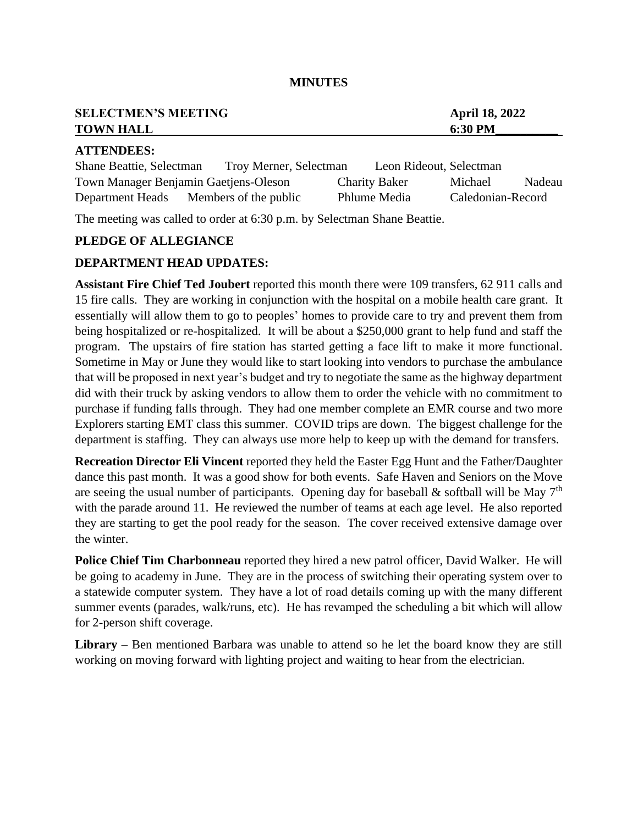| <b>SELECTMEN'S MEETING</b> | <b>April 18, 2022</b> |
|----------------------------|-----------------------|
| <b>TOWN HALL</b>           | 6:30 PM               |
| A TTENDEES.                |                       |

#### **ATTENDEES:**

| Shane Beattie, Selectman              | Troy Merner, Selectman |                      | Leon Rideout, Selectman |        |
|---------------------------------------|------------------------|----------------------|-------------------------|--------|
| Town Manager Benjamin Gaetjens-Oleson |                        | <b>Charity Baker</b> | Michael                 | Nadeau |
| Department Heads                      | Members of the public  | Phlume Media         | Caledonian-Record       |        |

The meeting was called to order at 6:30 p.m. by Selectman Shane Beattie.

### **PLEDGE OF ALLEGIANCE**

#### **DEPARTMENT HEAD UPDATES:**

**Assistant Fire Chief Ted Joubert** reported this month there were 109 transfers, 62 911 calls and 15 fire calls. They are working in conjunction with the hospital on a mobile health care grant. It essentially will allow them to go to peoples' homes to provide care to try and prevent them from being hospitalized or re-hospitalized. It will be about a \$250,000 grant to help fund and staff the program. The upstairs of fire station has started getting a face lift to make it more functional. Sometime in May or June they would like to start looking into vendors to purchase the ambulance that will be proposed in next year's budget and try to negotiate the same as the highway department did with their truck by asking vendors to allow them to order the vehicle with no commitment to purchase if funding falls through. They had one member complete an EMR course and two more Explorers starting EMT class this summer. COVID trips are down. The biggest challenge for the department is staffing. They can always use more help to keep up with the demand for transfers.

**Recreation Director Eli Vincent** reported they held the Easter Egg Hunt and the Father/Daughter dance this past month. It was a good show for both events. Safe Haven and Seniors on the Move are seeing the usual number of participants. Opening day for baseball  $\&$  softball will be May 7<sup>th</sup> with the parade around 11. He reviewed the number of teams at each age level. He also reported they are starting to get the pool ready for the season. The cover received extensive damage over the winter.

**Police Chief Tim Charbonneau** reported they hired a new patrol officer, David Walker. He will be going to academy in June. They are in the process of switching their operating system over to a statewide computer system. They have a lot of road details coming up with the many different summer events (parades, walk/runs, etc). He has revamped the scheduling a bit which will allow for 2-person shift coverage.

**Library** – Ben mentioned Barbara was unable to attend so he let the board know they are still working on moving forward with lighting project and waiting to hear from the electrician.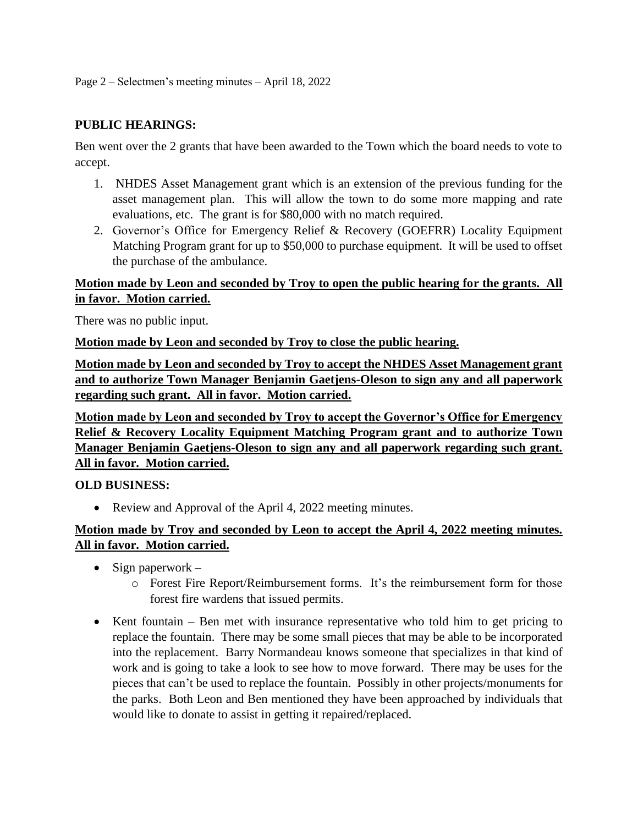### **PUBLIC HEARINGS:**

Ben went over the 2 grants that have been awarded to the Town which the board needs to vote to accept.

- 1. NHDES Asset Management grant which is an extension of the previous funding for the asset management plan. This will allow the town to do some more mapping and rate evaluations, etc. The grant is for \$80,000 with no match required.
- 2. Governor's Office for Emergency Relief & Recovery (GOEFRR) Locality Equipment Matching Program grant for up to \$50,000 to purchase equipment. It will be used to offset the purchase of the ambulance.

## **Motion made by Leon and seconded by Troy to open the public hearing for the grants. All in favor. Motion carried.**

There was no public input.

**Motion made by Leon and seconded by Troy to close the public hearing.**

**Motion made by Leon and seconded by Troy to accept the NHDES Asset Management grant and to authorize Town Manager Benjamin Gaetjens-Oleson to sign any and all paperwork regarding such grant. All in favor. Motion carried.**

**Motion made by Leon and seconded by Troy to accept the Governor's Office for Emergency Relief & Recovery Locality Equipment Matching Program grant and to authorize Town Manager Benjamin Gaetjens-Oleson to sign any and all paperwork regarding such grant. All in favor. Motion carried.**

#### **OLD BUSINESS:**

• Review and Approval of the April 4, 2022 meeting minutes.

## **Motion made by Troy and seconded by Leon to accept the April 4, 2022 meeting minutes. All in favor. Motion carried.**

- Sign paperwork  $$ 
	- o Forest Fire Report/Reimbursement forms. It's the reimbursement form for those forest fire wardens that issued permits.
- Kent fountain Ben met with insurance representative who told him to get pricing to replace the fountain. There may be some small pieces that may be able to be incorporated into the replacement. Barry Normandeau knows someone that specializes in that kind of work and is going to take a look to see how to move forward. There may be uses for the pieces that can't be used to replace the fountain. Possibly in other projects/monuments for the parks. Both Leon and Ben mentioned they have been approached by individuals that would like to donate to assist in getting it repaired/replaced.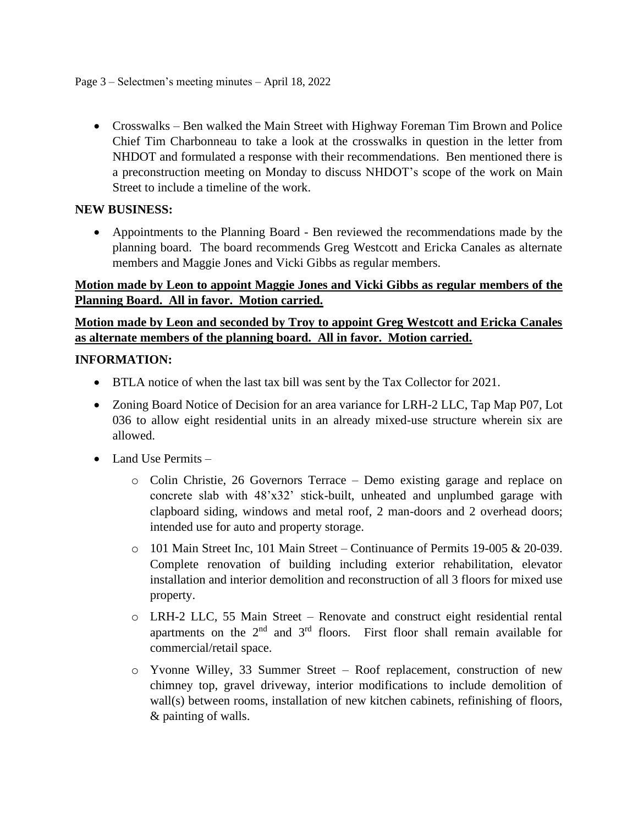• Crosswalks – Ben walked the Main Street with Highway Foreman Tim Brown and Police Chief Tim Charbonneau to take a look at the crosswalks in question in the letter from NHDOT and formulated a response with their recommendations. Ben mentioned there is a preconstruction meeting on Monday to discuss NHDOT's scope of the work on Main Street to include a timeline of the work.

### **NEW BUSINESS:**

• Appointments to the Planning Board - Ben reviewed the recommendations made by the planning board. The board recommends Greg Westcott and Ericka Canales as alternate members and Maggie Jones and Vicki Gibbs as regular members.

# **Motion made by Leon to appoint Maggie Jones and Vicki Gibbs as regular members of the Planning Board. All in favor. Motion carried.**

# **Motion made by Leon and seconded by Troy to appoint Greg Westcott and Ericka Canales as alternate members of the planning board. All in favor. Motion carried.**

### **INFORMATION:**

- BTLA notice of when the last tax bill was sent by the Tax Collector for 2021.
- Zoning Board Notice of Decision for an area variance for LRH-2 LLC, Tap Map P07, Lot 036 to allow eight residential units in an already mixed-use structure wherein six are allowed.
- Land Use Permits
	- o Colin Christie, 26 Governors Terrace Demo existing garage and replace on concrete slab with 48'x32' stick-built, unheated and unplumbed garage with clapboard siding, windows and metal roof, 2 man-doors and 2 overhead doors; intended use for auto and property storage.
	- $\circ$  101 Main Street Inc, 101 Main Street Continuance of Permits 19-005 & 20-039. Complete renovation of building including exterior rehabilitation, elevator installation and interior demolition and reconstruction of all 3 floors for mixed use property.
	- o LRH-2 LLC, 55 Main Street Renovate and construct eight residential rental apartments on the  $2<sup>nd</sup>$  and  $3<sup>rd</sup>$  floors. First floor shall remain available for commercial/retail space.
	- o Yvonne Willey, 33 Summer Street Roof replacement, construction of new chimney top, gravel driveway, interior modifications to include demolition of wall(s) between rooms, installation of new kitchen cabinets, refinishing of floors, & painting of walls.